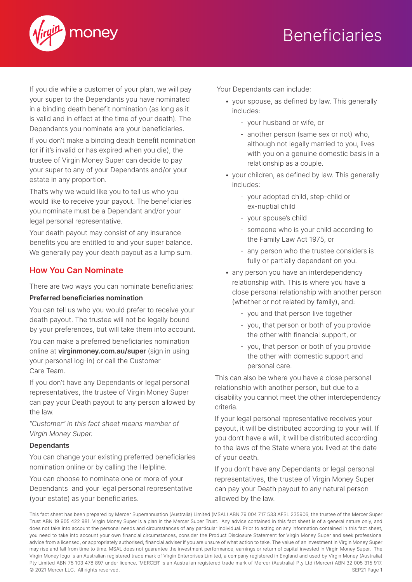

## **Beneficiaries**

If you die while a customer of your plan, we will pay your super to the Dependants you have nominated in a binding death benefit nomination (as long as it is valid and in effect at the time of your death). The Dependants you nominate are your beneficiaries.

If you don't make a binding death benefit nomination (or if it's invalid or has expired when you die), the trustee of Virgin Money Super can decide to pay your super to any of your Dependants and/or your estate in any proportion.

That's why we would like you to tell us who you would like to receive your payout. The beneficiaries you nominate must be a Dependant and/or your legal personal representative.

Your death payout may consist of any insurance benefits you are entitled to and your super balance. We generally pay your death payout as a lump sum.

### **How You Can Nominate**

There are two ways you can nominate beneficiaries:

### **Preferred beneficiaries nomination**

You can tell us who you would prefer to receive your death payout. The trustee will not be legally bound by your preferences, but will take them into account.

You can make a preferred beneficiaries nomination online at **virginmoney.com.au/super** (sign in using your personal log-in) or call the Customer Care Team.

If you don't have any Dependants or legal personal representatives, the trustee of Virgin Money Super can pay your Death payout to any person allowed by the law.

*"Customer" in this fact sheet means member of Virgin Money Super.*

#### **Dependants**

You can change your existing preferred beneficiaries nomination online or by calling the Helpline.

You can choose to nominate one or more of your Dependants and your legal personal representative (your estate) as your beneficiaries.

Your Dependants can include:

- your spouse, as defined by law. This generally includes:
	- your husband or wife, or
	- another person (same sex or not) who, although not legally married to you, lives with you on a genuine domestic basis in a relationship as a couple.
- your children, as defined by law. This generally includes:
	- your adopted child, step-child or ex-nuptial child
	- your spouse's child
	- someone who is your child according to the Family Law Act 1975, or
	- any person who the trustee considers is fully or partially dependent on you.
- any person you have an interdependency relationship with. This is where you have a close personal relationship with another person (whether or not related by family), and:
	- you and that person live together
	- you, that person or both of you provide the other with financial support, or
	- you, that person or both of you provide the other with domestic support and personal care.

This can also be where you have a close personal relationship with another person, but due to a disability you cannot meet the other interdependency criteria.

If your legal personal representative receives your payout, it will be distributed according to your will. If you don't have a will, it will be distributed according to the laws of the State where you lived at the date of your death.

If you don't have any Dependants or legal personal representatives, the trustee of Virgin Money Super can pay your Death payout to any natural person allowed by the law.

This fact sheet has been prepared by Mercer Superannuation (Australia) Limited (MSAL) ABN 79 004 717 533 AFSL 235906, the trustee of the Mercer Super Trust ABN 19 905 422 981. Virgin Money Super is a plan in the Mercer Super Trust. Any advice contained in this fact sheet is of a general nature only, and does not take into account the personal needs and circumstances of any particular individual. Prior to acting on any information contained in this fact sheet, you need to take into account your own financial circumstances, consider the Product Disclosure Statement for Virgin Money Super and seek professional advice from a licensed, or appropriately authorised, financial adviser if you are unsure of what action to take. The value of an investment in Virgin Money Super may rise and fall from time to time. MSAL does not guarantee the investment performance, earnings or return of capital invested in Virgin Money Super. The Virgin Money logo is an Australian registered trade mark of Virgin Enterprises Limited, a company registered in England and used by Virgin Money (Australia) Pty Limited ABN 75 103 478 897 under licence. 'MERCER' is an Australian registered trade mark of Mercer (Australia) Pty Ltd (Mercer) ABN 32 005 315 917. © 2021 Mercer LLC. All rights reserved. SEP21 Page 1